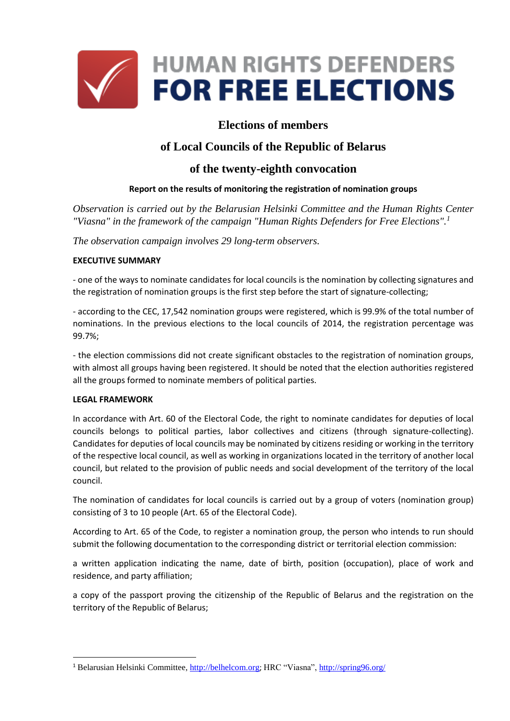

# **Elections of members**

# **of Local Councils of the Republic of Belarus**

## **of the twenty-eighth convocation**

### **Report on the results of monitoring the registration of nomination groups**

*Observation is carried out by the Belarusian Helsinki Committee and the Human Rights Center "Viasna" in the framework of the campaign "Human Rights Defenders for Free Elections".<sup>1</sup>*

*The observation campaign involves 29 long-term observers.*

#### **EXECUTIVE SUMMARY**

- one of the ways to nominate candidates for local councils is the nomination by collecting signatures and the registration of nomination groups is the first step before the start of signature-collecting;

- according to the CEC, 17,542 nomination groups were registered, which is 99.9% of the total number of nominations. In the previous elections to the local councils of 2014, the registration percentage was 99.7%;

- the election commissions did not create significant obstacles to the registration of nomination groups, with almost all groups having been registered. It should be noted that the election authorities registered all the groups formed to nominate members of political parties.

#### **LEGAL FRAMEWORK**

**.** 

In accordance with Art. 60 of the Electoral Code, the right to nominate candidates for deputies of local councils belongs to political parties, labor collectives and citizens (through signature-collecting). Candidates for deputies of local councils may be nominated by citizens residing or working in the territory of the respective local council, as well as working in organizations located in the territory of another local council, but related to the provision of public needs and social development of the territory of the local council.

The nomination of candidates for local councils is carried out by a group of voters (nomination group) consisting of 3 to 10 people (Art. 65 of the Electoral Code).

According to Art. 65 of the Code, to register a nomination group, the person who intends to run should submit the following documentation to the corresponding district or territorial election commission:

a written application indicating the name, date of birth, position (occupation), place of work and residence, and party affiliation;

a copy of the passport proving the citizenship of the Republic of Belarus and the registration on the territory of the Republic of Belarus;

<sup>1</sup> Belarusian Helsinki Committee[, http://belhelcom.org](http://belhelcom.org/); HRC "Viasna"[, http://spring96.org/](http://elections2018.spring96.org/en)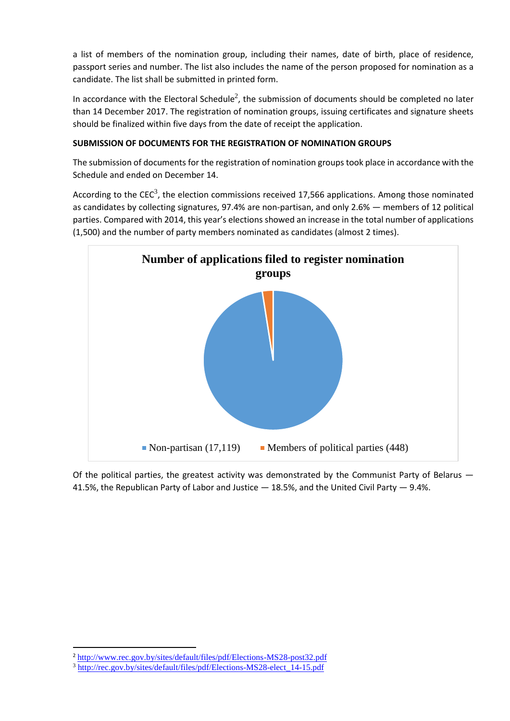a list of members of the nomination group, including their names, date of birth, place of residence, passport series and number. The list also includes the name of the person proposed for nomination as a candidate. The list shall be submitted in printed form.

In accordance with the Electoral Schedule<sup>2</sup>, the submission of documents should be completed no later than 14 December 2017. The registration of nomination groups, issuing certificates and signature sheets should be finalized within five days from the date of receipt the application.

### **SUBMISSION OF DOCUMENTS FOR THE REGISTRATION OF NOMINATION GROUPS**

The submission of documents for the registration of nomination groups took place in accordance with the Schedule and ended on December 14.

According to the CEC<sup>3</sup>, the election commissions received 17,566 applications. Among those nominated as candidates by collecting signatures, 97.4% are non-partisan, and only 2.6% — members of 12 political parties. Compared with 2014, this year's elections showed an increase in the total number of applications (1,500) and the number of party members nominated as candidates (almost 2 times).



Of the political parties, the greatest activity was demonstrated by the Communist Party of Belarus  $-$ 41.5%, the Republican Party of Labor and Justice  $-18.5%$ , and the United Civil Party  $-9.4%$ .

**.** 

<sup>2</sup> <http://www.rec.gov.by/sites/default/files/pdf/Elections-MS28-post32.pdf>

<sup>3</sup> [http://rec.gov.by/sites/default/files/pdf/Elections-MS28-elect\\_14-15.pdf](http://rec.gov.by/sites/default/files/pdf/Elections-MS28-elect_14-15.pdf)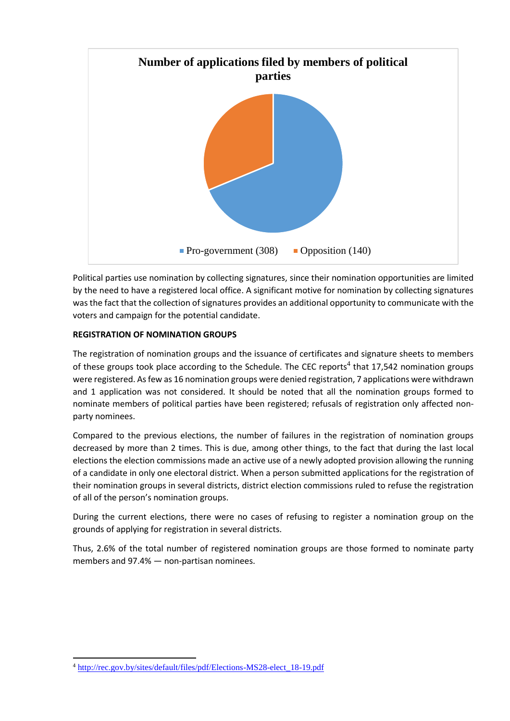

Political parties use nomination by collecting signatures, since their nomination opportunities are limited by the need to have a registered local office. A significant motive for nomination by collecting signatures was the fact that the collection of signatures provides an additional opportunity to communicate with the voters and campaign for the potential candidate.

#### **REGISTRATION OF NOMINATION GROUPS**

The registration of nomination groups and the issuance of certificates and signature sheets to members of these groups took place according to the Schedule. The CEC reports<sup>4</sup> that 17,542 nomination groups were registered. As few as 16 nomination groups were denied registration, 7 applications were withdrawn and 1 application was not considered. It should be noted that all the nomination groups formed to nominate members of political parties have been registered; refusals of registration only affected nonparty nominees.

Compared to the previous elections, the number of failures in the registration of nomination groups decreased by more than 2 times. This is due, among other things, to the fact that during the last local elections the election commissions made an active use of a newly adopted provision allowing the running of a candidate in only one electoral district. When a person submitted applications for the registration of their nomination groups in several districts, district election commissions ruled to refuse the registration of all of the person's nomination groups.

During the current elections, there were no cases of refusing to register a nomination group on the grounds of applying for registration in several districts.

Thus, 2.6% of the total number of registered nomination groups are those formed to nominate party members and 97.4% — non-partisan nominees.

**.** 

<sup>4</sup> [http://rec.gov.by/sites/default/files/pdf/Elections-MS28-elect\\_18-19.pdf](http://rec.gov.by/sites/default/files/pdf/Elections-MS28-elect_18-19.pdf)